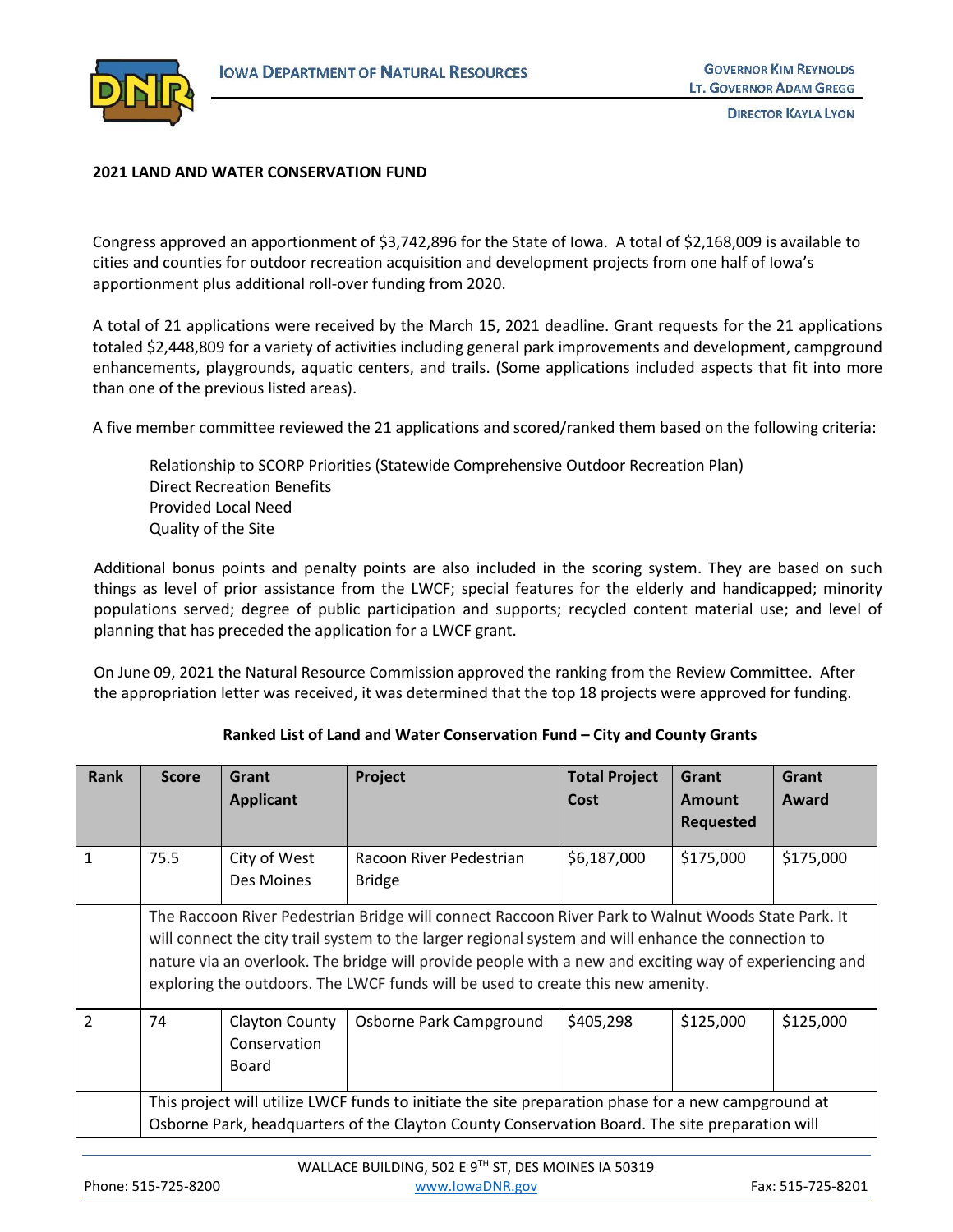

**DIRECTOR KAYLA LYON** 

## **2021 LAND AND WATER CONSERVATION FUND**

Congress approved an apportionment of \$3,742,896 for the State of Iowa. A total of \$2,168,009 is available to cities and counties for outdoor recreation acquisition and development projects from one half of Iowa's apportionment plus additional roll-over funding from 2020.

A total of 21 applications were received by the March 15, 2021 deadline. Grant requests for the 21 applications totaled \$2,448,809 for a variety of activities including general park improvements and development, campground enhancements, playgrounds, aquatic centers, and trails. (Some applications included aspects that fit into more than one of the previous listed areas).

A five member committee reviewed the 21 applications and scored/ranked them based on the following criteria:

Relationship to SCORP Priorities (Statewide Comprehensive Outdoor Recreation Plan) Direct Recreation Benefits Provided Local Need Quality of the Site

Additional bonus points and penalty points are also included in the scoring system. They are based on such things as level of prior assistance from the LWCF; special features for the elderly and handicapped; minority populations served; degree of public participation and supports; recycled content material use; and level of planning that has preceded the application for a LWCF grant.

On June 09, 2021 the Natural Resource Commission approved the ranking from the Review Committee. After the appropriation letter was received, it was determined that the top 18 projects were approved for funding.

| Rank          | <b>Score</b>                                                                                                                                                                                                                                                                                                                                                                                           | Grant                                   | Project                                  | <b>Total Project</b> | Grant                             | Grant     |  |
|---------------|--------------------------------------------------------------------------------------------------------------------------------------------------------------------------------------------------------------------------------------------------------------------------------------------------------------------------------------------------------------------------------------------------------|-----------------------------------------|------------------------------------------|----------------------|-----------------------------------|-----------|--|
|               |                                                                                                                                                                                                                                                                                                                                                                                                        | <b>Applicant</b>                        |                                          | Cost                 | <b>Amount</b><br><b>Requested</b> | Award     |  |
| $\mathbf{1}$  | 75.5                                                                                                                                                                                                                                                                                                                                                                                                   | City of West<br>Des Moines              | Racoon River Pedestrian<br><b>Bridge</b> | \$6,187,000          | \$175,000                         | \$175,000 |  |
|               | The Raccoon River Pedestrian Bridge will connect Raccoon River Park to Walnut Woods State Park. It<br>will connect the city trail system to the larger regional system and will enhance the connection to<br>nature via an overlook. The bridge will provide people with a new and exciting way of experiencing and<br>exploring the outdoors. The LWCF funds will be used to create this new amenity. |                                         |                                          |                      |                                   |           |  |
| $\mathcal{P}$ | 74                                                                                                                                                                                                                                                                                                                                                                                                     | Clayton County<br>Conservation<br>Board | Osborne Park Campground                  | \$405,298            | \$125,000                         | \$125,000 |  |
|               | This project will utilize LWCF funds to initiate the site preparation phase for a new campground at<br>Osborne Park, headquarters of the Clayton County Conservation Board. The site preparation will                                                                                                                                                                                                  |                                         |                                          |                      |                                   |           |  |

## **Ranked List of Land and Water Conservation Fund – City and County Grants**

|                     | WALLACE BUILDING, 502 E 9TH ST, DES MOINES IA 50319 |                   |
|---------------------|-----------------------------------------------------|-------------------|
| Phone: 515-725-8200 | www.lowaDNR.gov                                     | Fax: 515-725-8201 |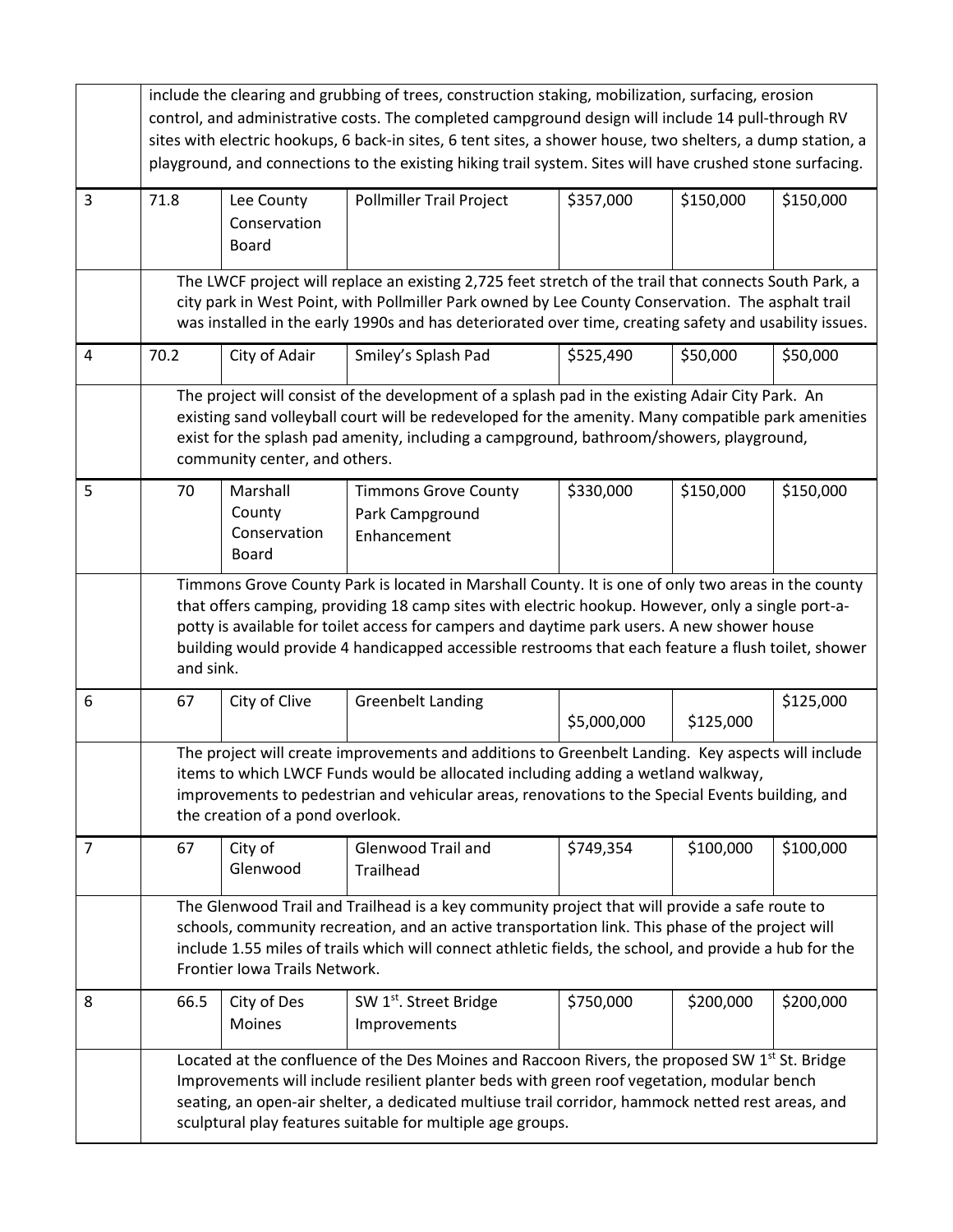|                | include the clearing and grubbing of trees, construction staking, mobilization, surfacing, erosion<br>control, and administrative costs. The completed campground design will include 14 pull-through RV<br>sites with electric hookups, 6 back-in sites, 6 tent sites, a shower house, two shelters, a dump station, a<br>playground, and connections to the existing hiking trail system. Sites will have crushed stone surfacing. |                                                                                                                                                                                                                                                                                                                                                                             |                                                               |             |           |           |  |  |
|----------------|--------------------------------------------------------------------------------------------------------------------------------------------------------------------------------------------------------------------------------------------------------------------------------------------------------------------------------------------------------------------------------------------------------------------------------------|-----------------------------------------------------------------------------------------------------------------------------------------------------------------------------------------------------------------------------------------------------------------------------------------------------------------------------------------------------------------------------|---------------------------------------------------------------|-------------|-----------|-----------|--|--|
| 3              | 71.8                                                                                                                                                                                                                                                                                                                                                                                                                                 | Lee County<br>Conservation<br><b>Board</b>                                                                                                                                                                                                                                                                                                                                  | <b>Pollmiller Trail Project</b>                               | \$357,000   | \$150,000 | \$150,000 |  |  |
|                | The LWCF project will replace an existing 2,725 feet stretch of the trail that connects South Park, a<br>city park in West Point, with Pollmiller Park owned by Lee County Conservation. The asphalt trail<br>was installed in the early 1990s and has deteriorated over time, creating safety and usability issues.                                                                                                                 |                                                                                                                                                                                                                                                                                                                                                                             |                                                               |             |           |           |  |  |
| $\overline{4}$ | 70.2                                                                                                                                                                                                                                                                                                                                                                                                                                 | City of Adair                                                                                                                                                                                                                                                                                                                                                               | Smiley's Splash Pad                                           | \$525,490   | \$50,000  | \$50,000  |  |  |
|                |                                                                                                                                                                                                                                                                                                                                                                                                                                      | The project will consist of the development of a splash pad in the existing Adair City Park. An<br>existing sand volleyball court will be redeveloped for the amenity. Many compatible park amenities<br>exist for the splash pad amenity, including a campground, bathroom/showers, playground,<br>community center, and others.                                           |                                                               |             |           |           |  |  |
| 5              | 70                                                                                                                                                                                                                                                                                                                                                                                                                                   | Marshall<br>County<br>Conservation<br>Board                                                                                                                                                                                                                                                                                                                                 | <b>Timmons Grove County</b><br>Park Campground<br>Enhancement | \$330,000   | \$150,000 | \$150,000 |  |  |
|                | Timmons Grove County Park is located in Marshall County. It is one of only two areas in the county<br>that offers camping, providing 18 camp sites with electric hookup. However, only a single port-a-<br>potty is available for toilet access for campers and daytime park users. A new shower house<br>building would provide 4 handicapped accessible restrooms that each feature a flush toilet, shower<br>and sink.            |                                                                                                                                                                                                                                                                                                                                                                             |                                                               |             |           |           |  |  |
| 6              | 67                                                                                                                                                                                                                                                                                                                                                                                                                                   | City of Clive                                                                                                                                                                                                                                                                                                                                                               | <b>Greenbelt Landing</b>                                      | \$5,000,000 | \$125,000 | \$125,000 |  |  |
|                |                                                                                                                                                                                                                                                                                                                                                                                                                                      | The project will create improvements and additions to Greenbelt Landing. Key aspects will include<br>items to which LWCF Funds would be allocated including adding a wetland walkway,<br>improvements to pedestrian and vehicular areas, renovations to the Special Events building, and<br>the creation of a pond overlook.                                                |                                                               |             |           |           |  |  |
| $\overline{7}$ | 67                                                                                                                                                                                                                                                                                                                                                                                                                                   | City of<br>Glenwood                                                                                                                                                                                                                                                                                                                                                         | <b>Glenwood Trail and</b><br>Trailhead                        | \$749,354   | \$100,000 | \$100,000 |  |  |
|                |                                                                                                                                                                                                                                                                                                                                                                                                                                      | The Glenwood Trail and Trailhead is a key community project that will provide a safe route to<br>schools, community recreation, and an active transportation link. This phase of the project will<br>include 1.55 miles of trails which will connect athletic fields, the school, and provide a hub for the<br>Frontier Iowa Trails Network.                                |                                                               |             |           |           |  |  |
| 8              | 66.5                                                                                                                                                                                                                                                                                                                                                                                                                                 | City of Des<br>Moines                                                                                                                                                                                                                                                                                                                                                       | SW 1 <sup>st</sup> . Street Bridge<br>Improvements            | \$750,000   | \$200,000 | \$200,000 |  |  |
|                |                                                                                                                                                                                                                                                                                                                                                                                                                                      | Located at the confluence of the Des Moines and Raccoon Rivers, the proposed SW 1 <sup>st</sup> St. Bridge<br>Improvements will include resilient planter beds with green roof vegetation, modular bench<br>seating, an open-air shelter, a dedicated multiuse trail corridor, hammock netted rest areas, and<br>sculptural play features suitable for multiple age groups. |                                                               |             |           |           |  |  |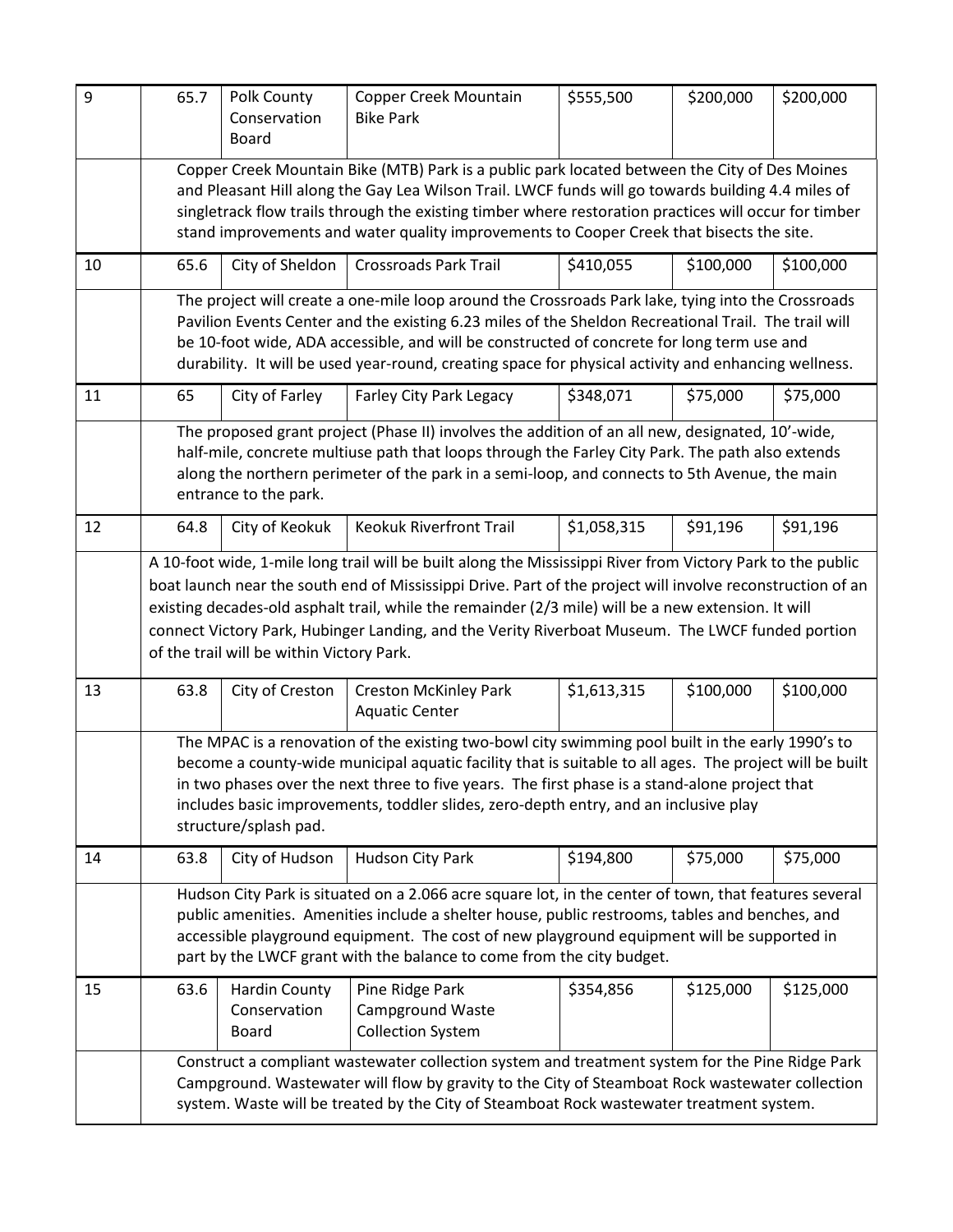| 9  | 65.7                                                                                                                                                                                                                                                                                                                                                                                                                                                                              | Polk County<br>Conservation<br><b>Board</b> | Copper Creek Mountain<br><b>Bike Park</b>                              | \$555,500   | \$200,000 | \$200,000 |  |  |
|----|-----------------------------------------------------------------------------------------------------------------------------------------------------------------------------------------------------------------------------------------------------------------------------------------------------------------------------------------------------------------------------------------------------------------------------------------------------------------------------------|---------------------------------------------|------------------------------------------------------------------------|-------------|-----------|-----------|--|--|
|    | Copper Creek Mountain Bike (MTB) Park is a public park located between the City of Des Moines<br>and Pleasant Hill along the Gay Lea Wilson Trail. LWCF funds will go towards building 4.4 miles of<br>singletrack flow trails through the existing timber where restoration practices will occur for timber<br>stand improvements and water quality improvements to Cooper Creek that bisects the site.                                                                          |                                             |                                                                        |             |           |           |  |  |
| 10 | 65.6                                                                                                                                                                                                                                                                                                                                                                                                                                                                              | City of Sheldon                             | <b>Crossroads Park Trail</b>                                           | \$410,055   | \$100,000 | \$100,000 |  |  |
|    | The project will create a one-mile loop around the Crossroads Park lake, tying into the Crossroads<br>Pavilion Events Center and the existing 6.23 miles of the Sheldon Recreational Trail. The trail will<br>be 10-foot wide, ADA accessible, and will be constructed of concrete for long term use and<br>durability. It will be used year-round, creating space for physical activity and enhancing wellness.                                                                  |                                             |                                                                        |             |           |           |  |  |
| 11 | 65                                                                                                                                                                                                                                                                                                                                                                                                                                                                                | City of Farley                              | Farley City Park Legacy                                                | \$348,071   | \$75,000  | \$75,000  |  |  |
|    | The proposed grant project (Phase II) involves the addition of an all new, designated, 10'-wide,<br>half-mile, concrete multiuse path that loops through the Farley City Park. The path also extends<br>along the northern perimeter of the park in a semi-loop, and connects to 5th Avenue, the main<br>entrance to the park.                                                                                                                                                    |                                             |                                                                        |             |           |           |  |  |
| 12 | 64.8                                                                                                                                                                                                                                                                                                                                                                                                                                                                              | City of Keokuk                              | <b>Keokuk Riverfront Trail</b>                                         | \$1,058,315 | \$91,196  | \$91,196  |  |  |
|    | A 10-foot wide, 1-mile long trail will be built along the Mississippi River from Victory Park to the public<br>boat launch near the south end of Mississippi Drive. Part of the project will involve reconstruction of an<br>existing decades-old asphalt trail, while the remainder (2/3 mile) will be a new extension. It will<br>connect Victory Park, Hubinger Landing, and the Verity Riverboat Museum. The LWCF funded portion<br>of the trail will be within Victory Park. |                                             |                                                                        |             |           |           |  |  |
| 13 | 63.8                                                                                                                                                                                                                                                                                                                                                                                                                                                                              | City of Creston                             | <b>Creston McKinley Park</b><br><b>Aquatic Center</b>                  | \$1,613,315 | \$100,000 | \$100,000 |  |  |
|    | The MPAC is a renovation of the existing two-bowl city swimming pool built in the early 1990's to<br>become a county-wide municipal aquatic facility that is suitable to all ages. The project will be built<br>in two phases over the next three to five years. The first phase is a stand-alone project that<br>includes basic improvements, toddler slides, zero-depth entry, and an inclusive play<br>structure/splash pad.                                                   |                                             |                                                                        |             |           |           |  |  |
| 14 | 63.8                                                                                                                                                                                                                                                                                                                                                                                                                                                                              | City of Hudson                              | <b>Hudson City Park</b>                                                | \$194,800   | \$75,000  | \$75,000  |  |  |
|    | Hudson City Park is situated on a 2.066 acre square lot, in the center of town, that features several<br>public amenities. Amenities include a shelter house, public restrooms, tables and benches, and<br>accessible playground equipment. The cost of new playground equipment will be supported in<br>part by the LWCF grant with the balance to come from the city budget.                                                                                                    |                                             |                                                                        |             |           |           |  |  |
| 15 | 63.6                                                                                                                                                                                                                                                                                                                                                                                                                                                                              | Hardin County<br>Conservation<br>Board      | Pine Ridge Park<br><b>Campground Waste</b><br><b>Collection System</b> | \$354,856   | \$125,000 | \$125,000 |  |  |
|    | Construct a compliant wastewater collection system and treatment system for the Pine Ridge Park<br>Campground. Wastewater will flow by gravity to the City of Steamboat Rock wastewater collection<br>system. Waste will be treated by the City of Steamboat Rock wastewater treatment system.                                                                                                                                                                                    |                                             |                                                                        |             |           |           |  |  |